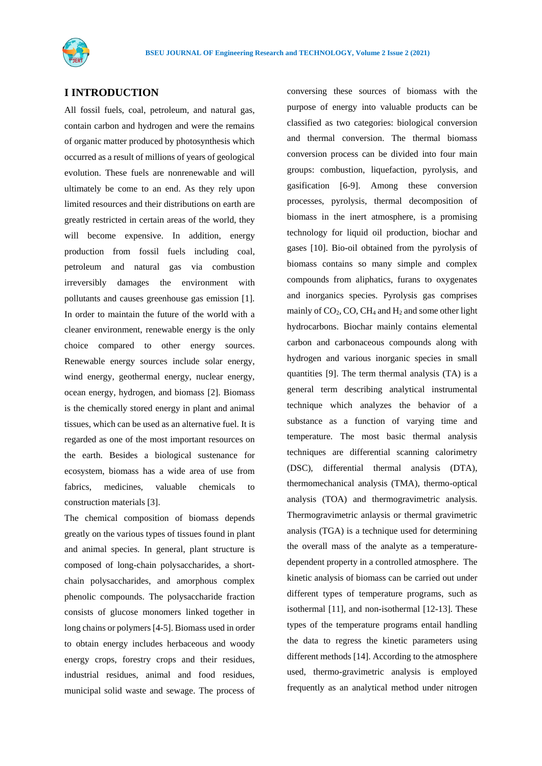

## **I INTRODUCTION**

All fossil fuels, coal, petroleum, and natural gas, contain carbon and hydrogen and were the remains of organic matter produced by photosynthesis which occurred as a result of millions of years of geological evolution. These fuels are nonrenewable and will ultimately be come to an end. As they rely upon limited resources and their distributions on earth are greatly restricted in certain areas of the world, they will become expensive. In addition, energy production from fossil fuels including coal, petroleum and natural gas via combustion irreversibly damages the environment with pollutants and causes greenhouse gas emission [1]. In order to maintain the future of the world with a cleaner environment, renewable energy is the only choice compared to other energy sources. Renewable energy sources include solar energy, wind energy, geothermal energy, nuclear energy, ocean energy, hydrogen, and biomass [2]. Biomass is the chemically stored energy in plant and animal tissues, which can be used as an alternative fuel. It is regarded as one of the most important resources on the earth. Besides a biological sustenance for ecosystem, biomass has a wide area of use from fabrics, medicines, valuable chemicals to construction materials [3].

The chemical composition of biomass depends greatly on the various types of tissues found in plant and animal species. In general, plant structure is composed of long-chain polysaccharides, a shortchain polysaccharides, and amorphous complex phenolic compounds. The polysaccharide fraction consists of glucose monomers linked together in long chains or polymers [4-5]. Biomass used in order to obtain energy includes herbaceous and woody energy crops, forestry crops and their residues, industrial residues, animal and food residues, municipal solid waste and sewage. The process of conversing these sources of biomass with the purpose of energy into valuable products can be classified as two categories: biological conversion and thermal conversion. The thermal biomass conversion process can be divided into four main groups: combustion, liquefaction, pyrolysis, and gasification [6-9]. Among these conversion processes, pyrolysis, thermal decomposition of biomass in the inert atmosphere, is a promising technology for liquid oil production, biochar and gases [10]. Bio-oil obtained from the pyrolysis of biomass contains so many simple and complex compounds from aliphatics, furans to oxygenates and inorganics species. Pyrolysis gas comprises mainly of  $CO<sub>2</sub>$ , CO, CH<sub>4</sub> and H<sub>2</sub> and some other light hydrocarbons. Biochar mainly contains elemental carbon and carbonaceous compounds along with hydrogen and various inorganic species in small quantities [9]. The term thermal analysis (TA) is a general term describing analytical instrumental technique which analyzes the behavior of a substance as a function of varying time and temperature. The most basic thermal analysis techniques are differential scanning calorimetry (DSC), differential thermal analysis (DTA), thermomechanical analysis (TMA), thermo-optical analysis (TOA) and thermogravimetric analysis. Thermogravimetric anlaysis or thermal gravimetric analysis (TGA) is a technique used for determining the overall mass of the analyte as a temperaturedependent property in a controlled atmosphere. The kinetic analysis of biomass can be carried out under different types of temperature programs, such as isothermal [11], and non-isothermal [12-13]. These types of the temperature programs entail handling the data to regress the kinetic parameters using different methods [14]. According to the atmosphere used, thermo-gravimetric analysis is employed frequently as an analytical method under nitrogen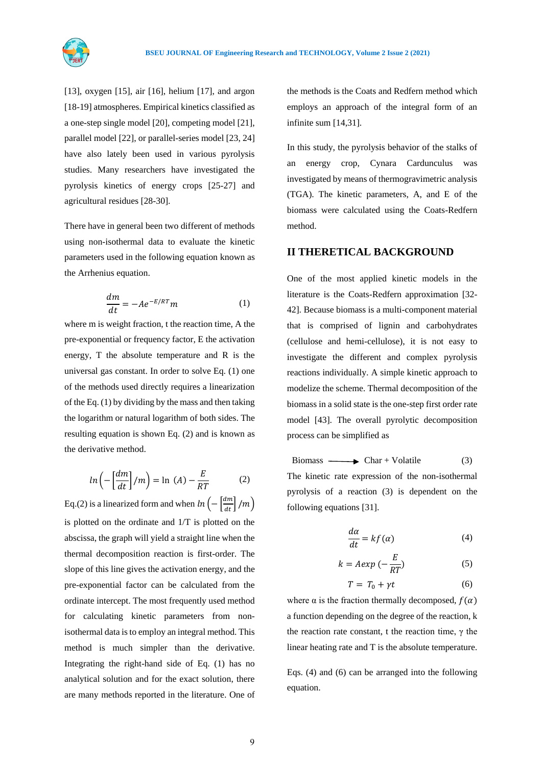[13], oxygen [15], air [16], helium [17], and argon [18-19] atmospheres. Empirical kinetics classified as a one-step single model [20], competing model [21], parallel model [22], or parallel-series model [23, 24] have also lately been used in various pyrolysis studies. Many researchers have investigated the pyrolysis kinetics of energy crops [25-27] and agricultural residues [28-30].

There have in general been two different of methods using non-isothermal data to evaluate the kinetic parameters used in the following equation known as the Arrhenius equation.

$$
\frac{dm}{dt} = -Ae^{-E/RT}m\tag{1}
$$

where m is weight fraction, t the reaction time, A the pre-exponential or frequency factor, E the activation energy, T the absolute temperature and R is the universal gas constant. In order to solve Eq. (1) one of the methods used directly requires a linearization of the Eq. (1) by dividing by the mass and then taking the logarithm or natural logarithm of both sides. The resulting equation is shown Eq. (2) and is known as the derivative method.

$$
ln\left(-\left[\frac{dm}{dt}\right]/m\right) = ln\ (A) - \frac{E}{RT} \tag{2}
$$

Eq.(2) is a linearized form and when  $ln\left(-\left[\frac{dm}{dt}\right]/m\right)$ is plotted on the ordinate and 1/T is plotted on the abscissa, the graph will yield a straight line when the thermal decomposition reaction is first-order. The slope of this line gives the activation energy, and the pre-exponential factor can be calculated from the ordinate intercept. The most frequently used method for calculating kinetic parameters from nonisothermal data is to employ an integral method. This method is much simpler than the derivative. Integrating the right-hand side of Eq. (1) has no analytical solution and for the exact solution, there are many methods reported in the literature. One of the methods is the Coats and Redfern method which employs an approach of the integral form of an infinite sum [14,31].

In this study, the pyrolysis behavior of the stalks of an energy crop, Cynara Cardunculus was investigated by means of thermogravimetric analysis (TGA). The kinetic parameters, A, and E of the biomass were calculated using the Coats-Redfern method.

### **II THERETICAL BACKGROUND**

One of the most applied kinetic models in the literature is the Coats-Redfern approximation [32- 42]. Because biomass is a multi-component material that is comprised of lignin and carbohydrates (cellulose and hemi-cellulose), it is not easy to investigate the different and complex pyrolysis reactions individually. A simple kinetic approach to modelize the scheme. Thermal decomposition of the biomass in a solid state is the one-step first order rate model [43]. The overall pyrolytic decomposition process can be simplified as

 $\text{Biomass} \longrightarrow \text{Char} + \text{Volatile}$  (3) The kinetic rate expression of the non-isothermal pyrolysis of a reaction (3) is dependent on the following equations [31].

$$
\frac{d\alpha}{dt} = kf(\alpha) \tag{4}
$$

$$
k = A \exp\left(-\frac{E}{RT}\right) \tag{5}
$$

$$
T = T_0 + \gamma t \tag{6}
$$

where  $\alpha$  is the fraction thermally decomposed,  $f(\alpha)$ a function depending on the degree of the reaction, k the reaction rate constant, t the reaction time,  $γ$  the linear heating rate and T is the absolute temperature.

Eqs. (4) and (6) can be arranged into the following equation.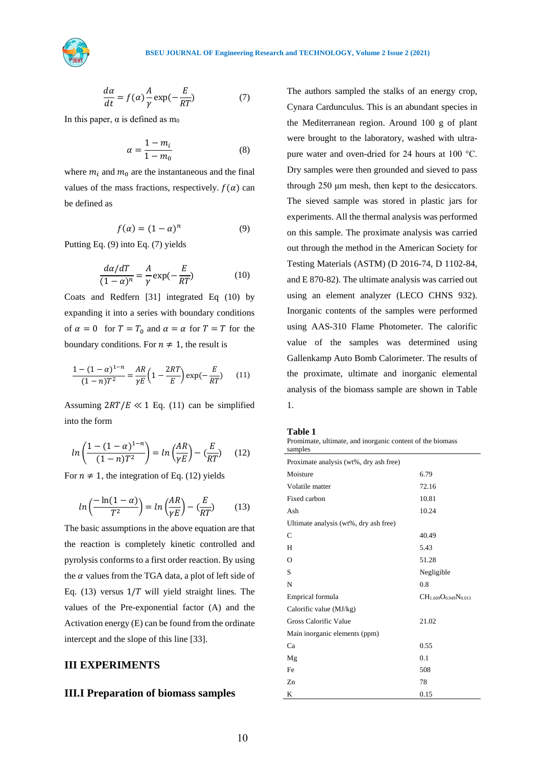

$$
\frac{d\alpha}{dt} = f(\alpha)\frac{A}{\gamma}\exp(-\frac{E}{RT})\tag{7}
$$

In this paper,  $\alpha$  is defined as  $m_0$ 

$$
\alpha = \frac{1 - m_i}{1 - m_0} \tag{8}
$$

where  $m_i$  and  $m_0$  are the instantaneous and the final values of the mass fractions, respectively.  $f(\alpha)$  can be defined as

$$
f(\alpha) = (1 - \alpha)^n \tag{9}
$$

Putting Eq. (9) into Eq. (7) yields

$$
\frac{d\alpha/dT}{(1-\alpha)^n} = \frac{A}{\gamma} \exp(-\frac{E}{RT})
$$
(10)

Coats and Redfern [31] integrated Eq (10) by expanding it into a series with boundary conditions of  $\alpha = 0$  for  $T = T_0$  and  $\alpha = \alpha$  for  $T = T$  for the boundary conditions. For  $n \neq 1$ , the result is

$$
\frac{1 - (1 - \alpha)^{1 - n}}{(1 - n)T^2} = \frac{AR}{\gamma E} \left( 1 - \frac{2RT}{E} \right) \exp(-\frac{E}{RT}) \tag{11}
$$

Assuming  $2RT/E \ll 1$  Eq. (11) can be simplified into the form

$$
ln\left(\frac{1 - (1 - \alpha)^{1 - n}}{(1 - n)T^2}\right) = ln\left(\frac{AR}{\gamma E}\right) - \left(\frac{E}{RT}\right) \quad (12)
$$

For  $n \neq 1$ , the integration of Eq. (12) yields

$$
ln\left(\frac{-ln(1-\alpha)}{T^2}\right) = ln\left(\frac{AR}{\gamma E}\right) - \left(\frac{E}{RT}\right) \tag{13}
$$

The basic assumptions in the above equation are that the reaction is completely kinetic controlled and pyrolysis conforms to a first order reaction. By using the  $\alpha$  values from the TGA data, a plot of left side of Eq. (13) versus  $1/T$  will yield straight lines. The values of the Pre-exponential factor (A) and the Activation energy (E) can be found from the ordinate intercept and the slope of this line [33].

## **III EXPERIMENTS**

### **III.I Preparation of biomass samples**

The authors sampled the stalks of an energy crop, Cynara Cardunculus. This is an abundant species in the Mediterranean region. Around 100 g of plant were brought to the laboratory, washed with ultrapure water and oven-dried for 24 hours at 100 °C. Dry samples were then grounded and sieved to pass through 250 μm mesh, then kept to the desiccators. The sieved sample was stored in plastic jars for experiments. All the thermal analysis was performed on this sample. The proximate analysis was carried out through the method in the American Society for Testing Materials (ASTM) (D 2016-74, D 1102-84, and E 870-82). The ultimate analysis was carried out using an element analyzer (LECO CHNS 932). Inorganic contents of the samples were performed using AAS-310 Flame Photometer. The calorific value of the samples was determined using Gallenkamp Auto Bomb Calorimeter. The results of the proximate, ultimate and inorganic elemental analysis of the biomass sample are shown in Table 1.

| п |  |  |  |
|---|--|--|--|
|---|--|--|--|

|         | Promimate, ultimate, and inorganic content of the biomass |  |  |
|---------|-----------------------------------------------------------|--|--|
| samples |                                                           |  |  |

| samples                                |                                |
|----------------------------------------|--------------------------------|
| Proximate analysis (wt%, dry ash free) |                                |
| Moisture                               | 6.79                           |
| Volatile matter                        | 72.16                          |
| Fixed carbon                           | 10.81                          |
| Ash                                    | 10.24                          |
| Ultimate analysis (wt%, dry ash free)  |                                |
| C                                      | 40.49                          |
| H                                      | 5.43                           |
| $\Omega$                               | 51.28                          |
| S                                      | Negligible                     |
| N                                      | 0.8                            |
| Emprical formula                       | $CH_{1.609}O_{0.949}N_{0.013}$ |
| Calorific value (MJ/kg)                |                                |
| Gross Calorific Value                  | 21.02                          |
| Main inorganic elements (ppm)          |                                |
| Ca                                     | 0.55                           |
| Mg                                     | 0.1                            |
| Fe                                     | 508                            |
| Zn                                     | 78                             |
| K                                      | 0.15                           |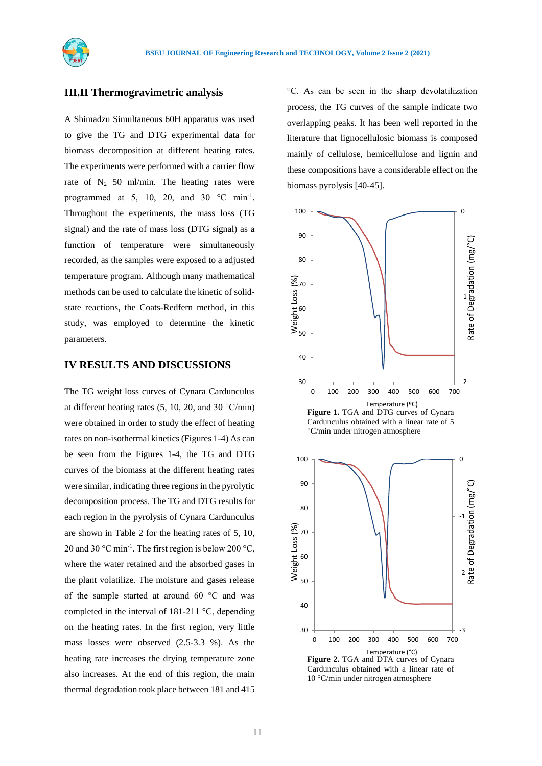

#### **III.II Thermogravimetric analysis**

A Shimadzu Simultaneous 60H apparatus was used to give the TG and DTG experimental data for biomass decomposition at different heating rates. The experiments were performed with a carrier flow rate of  $N_2$  50 ml/min. The heating rates were programmed at 5, 10, 20, and 30  $^{\circ}$ C min<sup>-1</sup>. Throughout the experiments, the mass loss (TG signal) and the rate of mass loss (DTG signal) as a function of temperature were simultaneously recorded, as the samples were exposed to a adjusted temperature program. Although many mathematical methods can be used to calculate the kinetic of solidstate reactions, the Coats-Redfern method, in this study, was employed to determine the kinetic parameters.

## **IV RESULTS AND DISCUSSIONS**

The TG weight loss curves of Cynara Cardunculus at different heating rates  $(5, 10, 20, \text{ and } 30 \degree \text{C/min})$ were obtained in order to study the effect of heating rates on non-isothermal kinetics (Figures 1-4) As can be seen from the Figures 1-4, the TG and DTG curves of the biomass at the different heating rates were similar, indicating three regions in the pyrolytic decomposition process. The TG and DTG results for each region in the pyrolysis of Cynara Cardunculus are shown in Table 2 for the heating rates of 5, 10, 20 and 30 °C min<sup>-1</sup>. The first region is below 200 °C, where the water retained and the absorbed gases in the plant volatilize. The moisture and gases release of the sample started at around 60 °C and was completed in the interval of 181-211 °C, depending on the heating rates. In the first region, very little mass losses were observed (2.5-3.3 %). As the heating rate increases the drying temperature zone also increases. At the end of this region, the main thermal degradation took place between 181 and 415

°C. As can be seen in the sharp devolatilization process, the TG curves of the sample indicate two overlapping peaks. It has been well reported in the literature that lignocellulosic biomass is composed mainly of cellulose, hemicellulose and lignin and these compositions have a considerable effect on the biomass pyrolysis [40-45].



Cardunculus obtained with a linear rate of 5 °C/min under nitrogen atmosphere



**Figure 2.** TGA and DTA curves of Cynara Cardunculus obtained with a linear rate of 10 °C/min under nitrogen atmosphere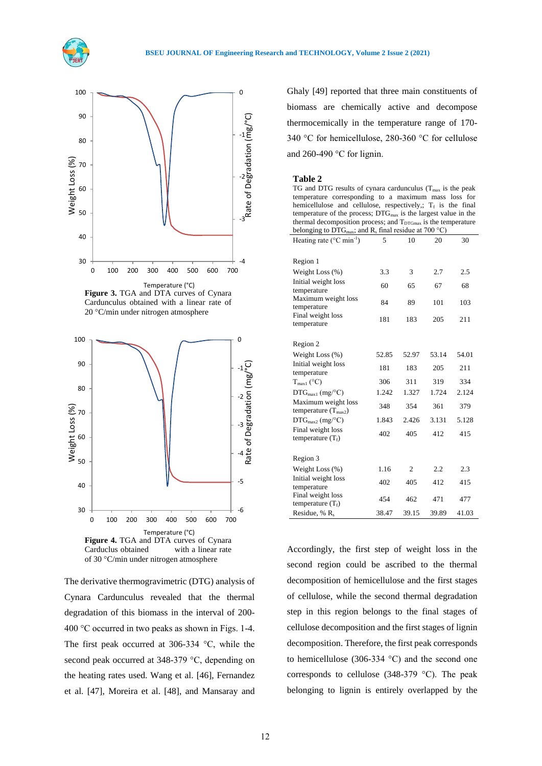



**Figure 3.** TGA and DTA curves of Cynara Cardunculus obtained with a linear rate of 20 °C/min under nitrogen atmosphere



The derivative thermogravimetric (DTG) analysis of Cynara Cardunculus revealed that the thermal degradation of this biomass in the interval of 200- 400 °C occurred in two peaks as shown in Figs. 1-4. The first peak occurred at 306-334 °C, while the second peak occurred at 348-379 °C, depending on the heating rates used. Wang et al. [46], Fernandez et al. [47], Moreira et al. [48], and Mansaray and

Ghaly [49] reported that three main constituents of biomass are chemically active and decompose thermocemically in the temperature range of 170- 340 °C for hemicellulose, 280-360 °C for cellulose and 260-490 °C for lignin.

#### **Table 2**

TG and DTG results of cynara cardunculus ( $T_{\text{max}}$  is the peak temperature corresponding to a maximum mass loss for hemicellulose and cellulose, respectively,;  $T_f$  is the final temperature of the process; DTG<sub>max</sub> is the largest value in the thermal decomposition process; and  $T_{DTGmax}$  is the temperature belonging to  $\widehat{\text{DTG}}_{\text{max}}$ ; and R<sub>s</sub> final residue at 700 °C)

| Heating rate (°C min <sup>-1</sup> )                   | 5     | 10             | 20    | 30    |
|--------------------------------------------------------|-------|----------------|-------|-------|
|                                                        |       |                |       |       |
| Region 1                                               |       |                |       |       |
| Weight Loss (%)                                        | 3.3   | 3              | 2.7   | 2.5   |
| Initial weight loss<br>temperature                     | 60    | 65             | 67    | 68    |
| Maximum weight loss<br>temperature                     | 84    | 89             | 101   | 103   |
| Final weight loss<br>temperature                       | 181   | 183            | 205   | 211   |
|                                                        |       |                |       |       |
| Region 2                                               |       |                |       |       |
| Weight Loss $(\%)$                                     | 52.85 | 52.97          | 53.14 | 54.01 |
| Initial weight loss<br>temperature                     | 181   | 183            | 205   | 211   |
| $T_{\text{max1}}$ (°C)                                 | 306   | 311            | 319   | 334   |
| $\text{DTG}_{\text{max1}}$ (mg/°C)                     | 1.242 | 1.327          | 1.724 | 2.124 |
| Maximum weight loss<br>temperature $(T_{\text{max2}})$ | 348   | 354            | 361   | 379   |
| $\text{DTG}_{\text{max2}}$ (mg/°C)                     | 1.843 | 2.426          | 3.131 | 5.128 |
| Final weight loss<br>temperature $(T_f)$               | 402   | 405            | 412   | 415   |
|                                                        |       |                |       |       |
| Region 3                                               |       |                |       |       |
| Weight Loss $(\%)$                                     | 1.16  | $\overline{c}$ | 2.2   | 2.3   |
| Initial weight loss<br>temperature                     | 402   | 405            | 412   | 415   |
| Final weight loss<br>temperature $(T_f)$               | 454   | 462            | 471   | 477   |
| Residue, % R <sub>s</sub>                              | 38.47 | 39.15          | 39.89 | 41.03 |

Accordingly, the first step of weight loss in the second region could be ascribed to the thermal decomposition of hemicellulose and the first stages of cellulose, while the second thermal degradation step in this region belongs to the final stages of cellulose decomposition and the first stages of lignin decomposition. Therefore, the first peak corresponds to hemicellulose (306-334  $^{\circ}$ C) and the second one corresponds to cellulose  $(348-379 \degree C)$ . The peak belonging to lignin is entirely overlapped by the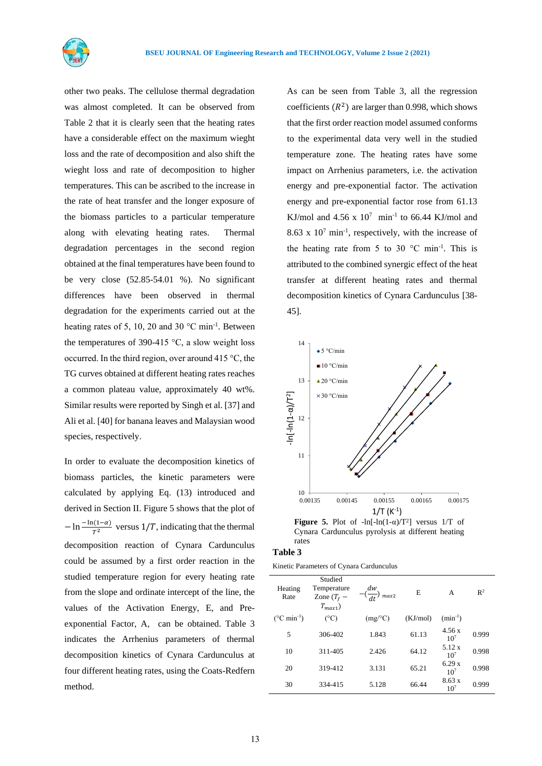

other two peaks. The cellulose thermal degradation was almost completed. It can be observed from Table 2 that it is clearly seen that the heating rates have a considerable effect on the maximum wieght loss and the rate of decomposition and also shift the wieght loss and rate of decomposition to higher temperatures. This can be ascribed to the increase in the rate of heat transfer and the longer exposure of the biomass particles to a particular temperature along with elevating heating rates. Thermal degradation percentages in the second region obtained at the final temperatures have been found to be very close  $(52.85-54.01)$  %). No significant differences have been observed in thermal degradation for the experiments carried out at the heating rates of 5, 10, 20 and 30  $^{\circ}$ C min<sup>-1</sup>. Between the temperatures of 390-415  $\degree$ C, a slow weight loss occurred. In the third region, over around 415 °C, the TG curves obtained at different heating rates reaches a common plateau value, approximately 40 wt%. Similar results were reported by Singh et al. [37] and Ali et al. [40] for banana leaves and Malaysian wood species, respectively.

In order to evaluate the decomposition kinetics of biomass particles, the kinetic parameters were calculated by applying Eq. (13) introduced and derived in Section II. Figure 5 shows that the plot of  $-\ln\frac{-\ln(1-\alpha)}{T^2}$  versus 1/T, indicating that the thermal decomposition reaction of Cynara Cardunculus could be assumed by a first order reaction in the studied temperature region for every heating rate from the slope and ordinate intercept of the line, the values of the Activation Energy, E, and Preexponential Factor, A, can be obtained. Table 3 indicates the Arrhenius parameters of thermal decomposition kinetics of Cynara Cardunculus at four different heating rates, using the Coats-Redfern method.

As can be seen from Table 3, all the regression coefficients  $(R^2)$  are larger than 0.998, which shows that the first order reaction model assumed conforms to the experimental data very well in the studied temperature zone. The heating rates have some impact on Arrhenius parameters, i.e. the activation energy and pre-exponential factor. The activation energy and pre-exponential factor rose from 61.13 KJ/mol and  $4.56 \times 10^7$  min<sup>-1</sup> to 66.44 KJ/mol and 8.63 x  $10^7$  min<sup>-1</sup>, respectively, with the increase of the heating rate from 5 to 30  $^{\circ}$ C min<sup>-1</sup>. This is attributed to the combined synergic effect of the heat transfer at different heating rates and thermal decomposition kinetics of Cynara Cardunculus [38- 45].



**Figure 5.** Plot of  $-\ln[-\ln(1-\alpha)/T^2]$  versus 1/T of Cynara Cardunculus pyrolysis at different heating rates

#### **Table 3**

| Kinetic Parameters of Cynara Cardunculus |  |
|------------------------------------------|--|
|------------------------------------------|--|

| Heating<br>Rate                | Studied<br>Temperature<br>Zone $(T_f -$<br>$T_{max1}$ ) | dw<br>$\left(\frac{\ }{dt}\right)$ max2 | E        | A                                   | $\mathbb{R}^2$ |
|--------------------------------|---------------------------------------------------------|-----------------------------------------|----------|-------------------------------------|----------------|
| $(^{\circ}C \text{ min}^{-1})$ | $(^{\circ}C)$                                           | $(mg$ <sup>o</sup> C)                   | (KJ/mol) | $(min^{-1})$                        |                |
| 5                              | 306-402                                                 | 1.843                                   | 61.13    | 4.56x<br>10 <sup>7</sup>            | 0.999          |
| 10                             | 311-405                                                 | 2.426                                   | 64.12    | 5.12 x<br>10 <sup>7</sup>           | 0.998          |
| 20                             | 319-412                                                 | 3.131                                   | 65.21    | 6.29x<br>10 <sup>7</sup>            | 0.998          |
| 30                             | 334-415                                                 | 5.128                                   | 66.44    | $8.63 \text{ x}$<br>10 <sup>7</sup> | 0.999          |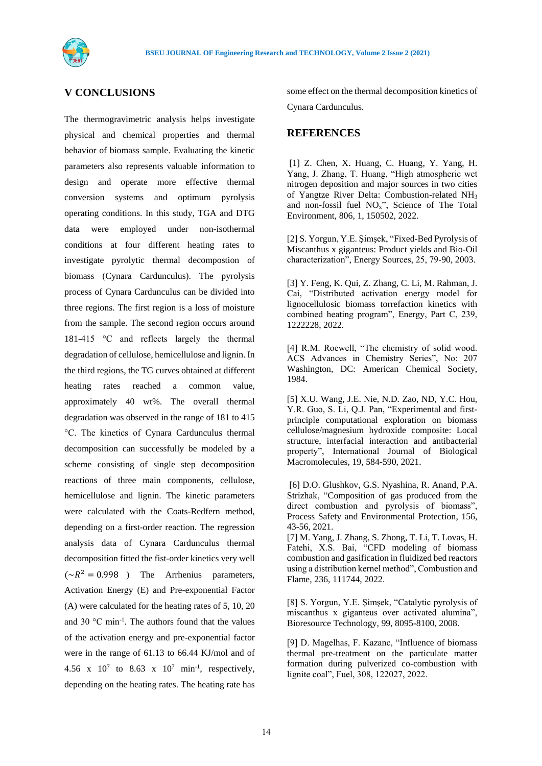

# **V CONCLUSIONS**

The thermogravimetric analysis helps investigate physical and chemical properties and thermal behavior of biomass sample. Evaluating the kinetic parameters also represents valuable information to design and operate more effective thermal conversion systems and optimum pyrolysis operating conditions. In this study, TGA and DTG data were employed under non-isothermal conditions at four different heating rates to investigate pyrolytic thermal decompostion of biomass (Cynara Cardunculus). The pyrolysis process of Cynara Cardunculus can be divided into three regions. The first region is a loss of moisture from the sample. The second region occurs around 181-415 °C and reflects largely the thermal degradation of cellulose, hemicellulose and lignin. In the third regions, the TG curves obtained at different heating rates reached a common value, approximately 40 wt%. The overall thermal degradation was observed in the range of 181 to 415 °C. The kinetics of Cynara Cardunculus thermal decomposition can successfully be modeled by a scheme consisting of single step decomposition reactions of three main components, cellulose, hemicellulose and lignin. The kinetic parameters were calculated with the Coats-Redfern method, depending on a first-order reaction. The regression analysis data of Cynara Cardunculus thermal decomposition fitted the fist-order kinetics very well  $({\sim}R^2 = 0.998)$  The Arrhenius parameters, Activation Energy (E) and Pre-exponential Factor (A) were calculated for the heating rates of 5, 10, 20 and 30 °C min-1 . The authors found that the values of the activation energy and pre-exponential factor were in the range of 61.13 to 66.44 KJ/mol and of 4.56 x  $10^7$  to 8.63 x  $10^7$  min<sup>-1</sup>, respectively, depending on the heating rates. The heating rate has

some effect on the thermal decomposition kinetics of Cynara Cardunculus.

## **REFERENCES**

[1] Z. Chen, X. Huang, C. Huang, Y. Yang, H. Yang, J. Zhang, T. Huang, "High atmospheric wet nitrogen deposition and major sources in two cities of Yangtze River Delta: Combustion-related NH<sup>3</sup> and non-fossil fuel  $NO<sub>x</sub>$ ", Science of The Total Environment, 806, 1, 150502, 2022.

[2] S. Yorgun, Y.E. Şimşek, "Fixed-Bed Pyrolysis of Miscanthus x giganteus: Product yields and Bio-Oil characterization", Energy Sources, 25, 79-90, 2003.

[3] Y. Feng, K. Qui, Z. Zhang, C. Li, M. Rahman, J. Cai, "Distributed activation energy model for lignocellulosic biomass torrefaction kinetics with combined heating program", Energy, Part C, 239, 1222228, 2022.

[4] R.M. Roewell, "The chemistry of solid wood. ACS Advances in Chemistry Series", No: 207 Washington, DC: American Chemical Society, 1984.

[5] X.U. Wang, J.E. Nie, N.D. Zao, ND, Y.C. Hou, Y.R. Guo, S. Li, Q.J. Pan, "Experimental and firstprinciple computational exploration on biomass cellulose/magnesium hydroxide composite: Local structure, interfacial interaction and antibacterial property", International Journal of Biological Macromolecules, 19, 584-590, 2021.

[6] D.O. Glushkov, G.S. Nyashina, R. Anand, P.A. Strizhak, "Composition of gas produced from the direct combustion and pyrolysis of biomass", [Process Safety and Environmental Protection,](https://www.sciencedirect.com/science/journal/09575820) 156, 43-56, 2021.

[7] M. Yang, J. Zhang, S. Zhong, T. Li, T. Lovas, H. Fatehi, X.S. Bai, "CFD modeling of biomass combustion and gasification in fluidized bed reactors using a distribution kernel method", Combustion and Flame, 236, 111744, 2022.

[8] S. Yorgun, Y.E. Şimşek, "Catalytic pyrolysis of miscanthus x giganteus over activated alumina", Bioresource Technology, 99, 8095-8100, 2008.

[9] D. Magelhas, F. Kazanc, "Influence of biomass thermal pre-treatment on the particulate matter formation during pulverized co-combustion with lignite coal", Fuel, 308, 122027, 2022.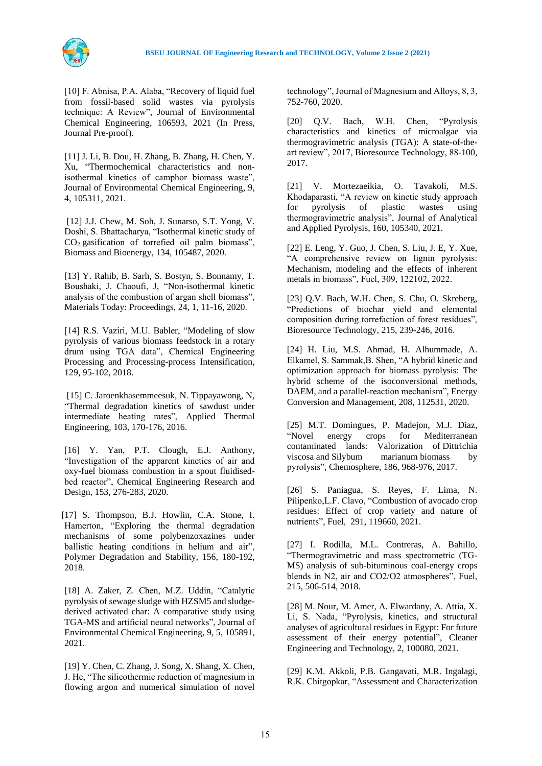[10] F. Abnisa, P.A. Alaba, "Recovery of liquid fuel from fossil-based solid wastes via pyrolysis technique: A Review", [Journal of Environmental](https://www.sciencedirect.com/science/journal/22133437) [Chemical Engineering,](https://www.sciencedirect.com/science/journal/22133437) 106593, 2021 (In Press, Journal Pre-proof).

[11] J. Li, B. Dou, H. Zhang, B. Zhang, H. Chen, Y. Xu, "Thermochemical characteristics and nonisothermal kinetics of camphor biomass waste", [Journal of Environmental Chemical Engineering,](https://www.sciencedirect.com/science/journal/22133437) 9, 4, 105311, 2021.

[12] J.J. Chew, M. Soh, J. Sunarso, S.T. Yong, V. Doshi, S. Bhattacharya, "Isothermal kinetic study of  $CO<sub>2</sub>$  gasification of torrefied oil palm biomass", Biomass and Bioenergy, 134, 105487, 2020.

[13] Y. Rahib, B. Sarh, S. Bostyn, S. Bonnamy, T. Boushaki, J. Chaoufi, J, "Non-isothermal kinetic analysis of the combustion of argan shell biomass", Materials Today: Proceedings, 24, 1, 11-16, 2020.

[14] R.S. Vaziri, M.U. Babler, "Modeling of slow pyrolysis of various biomass feedstock in a rotary drum using TGA data", Chemical Engineering Processing and Processing-process Intensification, 129, 95-102, 2018.

[15] C. Jaroenkhasemmeesuk, N. Tippayawong, N, "Thermal degradation kinetics of sawdust under intermediate heating rates", Applied Thermal Engineering, 103, 170-176, 2016.

[16] Y. Yan, P.T. Clough, E.J. Anthony, "Investigation of the apparent kinetics of air and oxy-fuel biomass combustion in a spout fluidisedbed reactor", [Chemical Engineering Research and](https://www.sciencedirect.com/science/journal/02638762) [Design,](https://www.sciencedirect.com/science/journal/02638762) 153, 276-283, 2020.

[17] S. Thompson, B.J. Howlin, C.A. Stone, I. Hamerton, "Exploring the thermal degradation mechanisms of some polybenzoxazines under ballistic heating conditions in helium and air", Polymer Degradation and Stability, 156, 180-192, 2018.

[18] A. Zaker, Z. Chen, M.Z. Uddin, "Catalytic pyrolysis of sewage sludge with HZSM5 and sludgederived activated char: A comparative study using TGA-MS and artificial neural networks", Journal of Environmental Chemical Engineering, 9, 5, 105891, 2021.

[19] Y. Chen, C. Zhang, J. Song, X. Shang, X. Chen, J. He, "The silicothermic reduction of magnesium in flowing argon and numerical simulation of novel

technology", Journal of Magnesium and Alloys, 8, 3, 752-760, 2020.

[20] Q.V. Bach, W.H. Chen, "Pyrolysis characteristics and kinetics of microalgae via thermogravimetric analysis (TGA): A state-of-theart review", 2017, Bioresource Technology, 88-100, 2017.

[21] V. Mortezaeikia, O. Tavakoli, M.S. Khodaparasti, "A review on kinetic study approach for pyrolysis of plastic wastes using thermogravimetric analysis", Journal of Analytical and Applied Pyrolysis, 160, 105340, 2021.

[22] E. Leng, Y. Guo, J. Chen, S. Liu, J. E, Y. Xue, "A comprehensive review on lignin pyrolysis: Mechanism, modeling and the effects of inherent metals in biomass", Fuel, 309, 122102, 2022.

[23] O.V. Bach, W.H. Chen, S. Chu, O. Skreberg, "Predictions of biochar yield and elemental composition during torrefaction of forest residues", Bioresource Technology, 215, 239-246, 2016.

[24] H. Liu, M.S. Ahmad, H. Alhummade, A. Elkamel, S. Sammak,B. Shen, "A hybrid kinetic and optimization approach for biomass pyrolysis: The hybrid scheme of the isoconversional methods, DAEM, and a parallel-reaction mechanism", Energy Conversion and Management, 208, 112531, 2020.

[25] M.T. Domingues, P. Madejon, M.J. Diaz, "Novel energy crops for Mediterranean contaminated lands: Valorization of Dittrichia viscosa and Silybum marianum biomass by pyrolysis", Chemosphere, 186, 968-976, 2017.

[26] S. Paniagua, S. Reyes, F. Lima, N. Pilipenko,L.F. Clavo, "Combustion of avocado crop residues: Effect of crop variety and nature of nutrients", Fuel, 291, 119660, 2021.

[27] I. Rodilla, M.L. Contreras, A. Bahillo, "Thermogravimetric and mass spectrometric (TG-MS) analysis of sub-bituminous coal-energy crops blends in N2, air and CO2/O2 atmospheres", Fuel, 215, 506-514, 2018.

[28] M. Nour, M. Amer, A. Elwardany, A. Attia, X. Li, S. Nada, "Pyrolysis, kinetics, and structural analyses of agricultural residues in Egypt: For future assessment of their energy potential", Cleaner Engineering and Technology, 2, 100080, 2021.

[29] K.M. Akkoli, P.B. Gangavati, M.R. Ingalagi, R.K. Chitgopkar, ["Assessment and Characterization](https://www.sciencedirect.com/science/article/pii/S2214785318311817)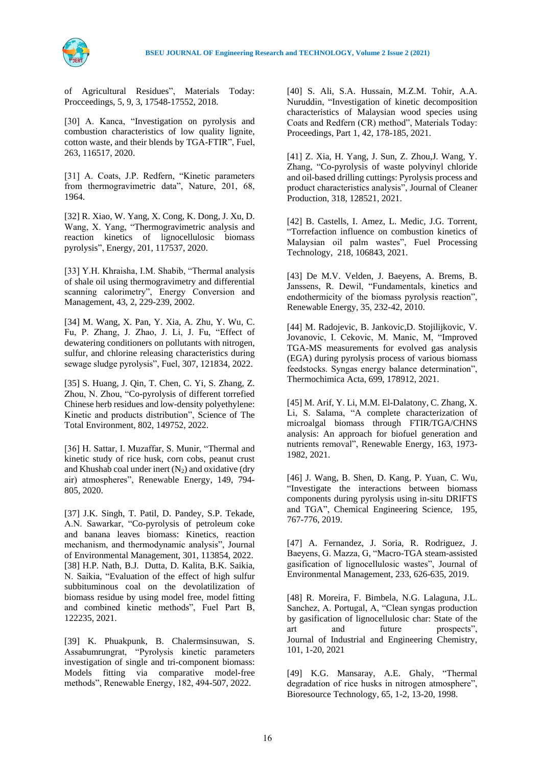



[of Agricultural Residues"](https://www.sciencedirect.com/science/article/pii/S2214785318311817), Materials Today: Procceedings, 5, 9, 3, 17548-17552, 2018.

[30] A. Kanca, "Investigation on pyrolysis and combustion characteristics of low quality lignite, cotton waste, and their blends by TGA-FTIR", Fuel, 263, 116517, 2020.

[31] A. Coats, J.P. Redfern, "Kinetic parameters from thermogravimetric data", Nature, 201, 68, 1964.

[32] R. Xiao, W. Yang, X. Cong, K. Dong, J. Xu, D. Wang, X. Yang, "Thermogravimetric analysis and reaction kinetics of lignocellulosic biomass pyrolysis", Energy, 201, 117537, 2020.

[33] Y.H. Khraisha, I.M. Shabib, "Thermal analysis of shale oil using thermogravimetry and differential scanning calorimetry", Energy Conversion and Management, 43, 2, 229-239, 2002.

[34] M. Wang, X. Pan, Y. Xia, A. Zhu, Y. Wu, C. Fu, P. Zhang, J. Zhao, J. Li, J. Fu, "Effect of dewatering conditioners on pollutants with nitrogen, sulfur, and chlorine releasing characteristics during sewage sludge pyrolysis", Fuel, 307, 121834, 2022.

[35] S. Huang, J. Qin, T. Chen, C. Yi, S. Zhang, Z. Zhou, N. Zhou, "Co-pyrolysis of different torrefied Chinese herb residues and low-density polyethylene: Kinetic and products distribution", [Science of The](https://www.sciencedirect.com/science/journal/00489697) [Total Environment,](https://www.sciencedirect.com/science/journal/00489697) 802, 149752, 2022.

[36] H. Sattar, I. Muzaffar, S. Munir, "Thermal and kinetic study of rice husk, corn cobs, peanut crust and Khushab coal under inert  $(N_2)$  and oxidative (dry air) atmospheres", Renewable Energy, 149, 794- 805, 2020.

[37] J.K. Singh, T. Patil, D. Pandey, S.P. Tekade, A.N. Sawarkar, "Co-pyrolysis of petroleum coke and banana leaves biomass: Kinetics, reaction mechanism, and thermodynamic analysis", [Journal](https://www.sciencedirect.com/science/journal/03014797) [of Environmental Management,](https://www.sciencedirect.com/science/journal/03014797) 301, 113854, 2022. [38] H.P. Nath, B.J. Dutta, D. Kalita, B.K. Saikia, N. Saikia, "Evaluation of the effect of high sulfur subbituminous coal on the devolatilization of biomass residue by using model free, model fitting and combined kinetic methods", Fuel Part B, 122235, 2021.

[39] K. Phuakpunk, B. Chalermsinsuwan, S. Assabumrungrat, "Pyrolysis kinetic parameters investigation of single and tri-component biomass: Models fitting via comparative model-free methods", Renewable Energy, 182, 494-507, 2022.

[40] S. Ali, S.A. Hussain, M.Z.M. Tohir, A.A. Nuruddin, "Investigation of kinetic decomposition characteristics of Malaysian wood species using Coats and Redfern (CR) method", Materials Today: Proceedings, Part 1, 42, 178-185, 2021.

[41] Z. Xia, H. Yang, J. Sun, Z. Zhou,J. Wang, Y. Zhang, "Co-pyrolysis of waste polyvinyl chloride and oil-based drilling cuttings: Pyrolysis process and product characteristics analysis", Journal of Cleaner Production, 318, 128521, 2021.

[42] B. Castells, I. Amez, L. Medic, J.G. Torrent, "Torrefaction influence on combustion kinetics of Malaysian oil palm wastes", Fuel Processing Technology, 218, 106843, 2021.

[43] De M.V. Velden, J. Baeyens, A. Brems, B. Janssens, R. Dewil, "Fundamentals, kinetics and endothermicity of the biomass pyrolysis reaction", Renewable Energy, 35, 232-42, 2010.

[44] M. Radojevic, B. Jankovic,D. Stojilijkovic, V. Jovanovic, I. Cekovic, M. Manic, M, "Improved TGA-MS measurements for evolved gas analysis (EGA) during pyrolysis process of various biomass feedstocks. Syngas energy balance determination", Thermochimica Acta, 699, 178912, 2021.

[45] M. Arif, Y. Li, M.M. El-Dalatony, C. Zhang, X. Li, S. Salama, "A complete characterization of microalgal biomass through FTIR/TGA/CHNS analysis: An approach for biofuel generation and nutrients removal", Renewable Energy, 163, 1973- 1982, 2021.

[46] J. Wang, B. Shen, D. Kang, P. Yuan, C. Wu, "Investigate the interactions between biomass components during pyrolysis using in-situ DRIFTS and TGA", Chemical Engineering Science, 195, 767-776, 2019.

[47] A. Fernandez, J. Soria, R. Rodriguez, J. Baeyens, G. Mazza, G, "Macro-TGA steam-assisted gasification of lignocellulosic wastes", [Journal of](https://www.sciencedirect.com/science/journal/03014797) [Environmental Management,](https://www.sciencedirect.com/science/journal/03014797) 233, 626-635, 2019.

[48] R. Moreira, F. Bimbela, N.G. Lalaguna, J.L. Sanchez, A. Portugal, A, "Clean syngas production by gasification of lignocellulosic char: State of the art and future prospects", Journal of Industrial and Engineering Chemistry, 101, 1-20, 2021

[49] K.G. Mansaray, A.E. Ghaly, "Thermal degradation of rice husks in nitrogen atmosphere", Bioresource Technology, 65, 1-2, 13-20, 1998.